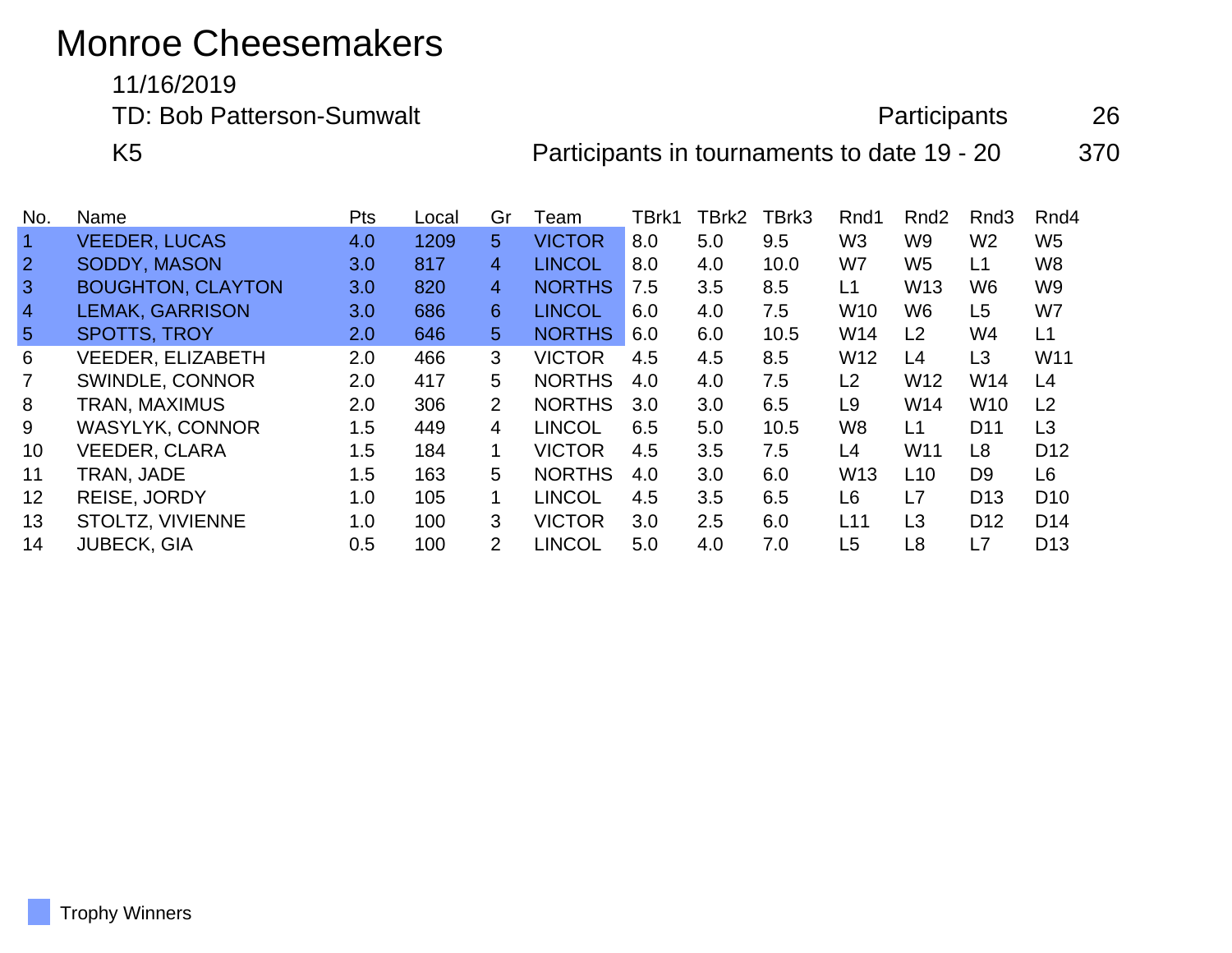## Monroe Cheesemakers

11/16/2019

TD: Bob Patterson-Sumwalt **Participants** 26

K5 **Participants in tournaments to date 19 - 20** 370

| No.               | Name                     | <b>Pts</b> | Local | Gr             | ⊺eam          | TBrk1 | TBrk2 | TBrk3 | Rnd1            | Rnd <sub>2</sub> | Rnd <sub>3</sub> | Rnd4            |
|-------------------|--------------------------|------------|-------|----------------|---------------|-------|-------|-------|-----------------|------------------|------------------|-----------------|
| $\overline{1}$    | <b>VEEDER, LUCAS</b>     | 4.0        | 1209  | 5              | <b>VICTOR</b> | 8.0   | 5.0   | 9.5   | W <sub>3</sub>  | W9               | W <sub>2</sub>   | W5              |
| $\overline{2}$    | <b>SODDY, MASON</b>      | 3.0        | 817   | $\overline{4}$ | <b>LINCOL</b> | 8.0   | 4.0   | 10.0  | W7              | W <sub>5</sub>   | L1               | W8              |
| $\mathbf{3}$      | <b>BOUGHTON, CLAYTON</b> | 3.0        | 820   | $\overline{4}$ | <b>NORTHS</b> | 7.5   | 3.5   | 8.5   | L1              | W <sub>13</sub>  | W6               | W <sub>9</sub>  |
| $\overline{4}$    | <b>LEMAK, GARRISON</b>   | 3.0        | 686   | 6              | <b>LINCOL</b> | 6.0   | 4.0   | 7.5   | W <sub>10</sub> | W6               | L <sub>5</sub>   | W7              |
| $\sqrt{5}$        | <b>SPOTTS, TROY</b>      | 2.0        | 646   | 5              | <b>NORTHS</b> | 6.0   | 6.0   | 10.5  | W14             | L <sub>2</sub>   | W4               | L1              |
| 6                 | <b>VEEDER, ELIZABETH</b> | 2.0        | 466   | 3              | <b>VICTOR</b> | 4.5   | 4.5   | 8.5   | W <sub>12</sub> | L <sub>4</sub>   | L <sub>3</sub>   | W11             |
| $\overline{7}$    | SWINDLE, CONNOR          | 2.0        | 417   | 5              | <b>NORTHS</b> | 4.0   | 4.0   | 7.5   | L2              | W <sub>12</sub>  | W14              | L4              |
| 8                 | TRAN, MAXIMUS            | 2.0        | 306   | 2              | <b>NORTHS</b> | 3.0   | 3.0   | 6.5   | L9              | W14              | <b>W10</b>       | L <sub>2</sub>  |
| 9                 | <b>WASYLYK, CONNOR</b>   | 1.5        | 449   | $\overline{4}$ | <b>LINCOL</b> | 6.5   | 5.0   | 10.5  | W8              | L1               | D <sub>11</sub>  | L3              |
| 10                | <b>VEEDER, CLARA</b>     | 1.5        | 184   | 1              | <b>VICTOR</b> | 4.5   | 3.5   | 7.5   | L4              | W <sub>11</sub>  | L <sub>8</sub>   | D <sub>12</sub> |
| 11                | TRAN, JADE               | 1.5        | 163   | 5              | <b>NORTHS</b> | 4.0   | 3.0   | 6.0   | W <sub>13</sub> | L10              | D <sub>9</sub>   | L6              |
| $12 \overline{ }$ | <b>REISE, JORDY</b>      | 1.0        | 105   | 1              | <b>LINCOL</b> | 4.5   | 3.5   | 6.5   | L6              | L7               | D <sub>13</sub>  | D <sub>10</sub> |
| 13                | STOLTZ, VIVIENNE         | 1.0        | 100   | 3              | <b>VICTOR</b> | 3.0   | 2.5   | 6.0   | L11             | L3               | D <sub>12</sub>  | D <sub>14</sub> |
| 14                | <b>JUBECK, GIA</b>       | 0.5        | 100   | $\mathcal{P}$  | <b>LINCOL</b> | 5.0   | 4.0   | 7.0   | L5              | L <sub>8</sub>   | L7               | D <sub>13</sub> |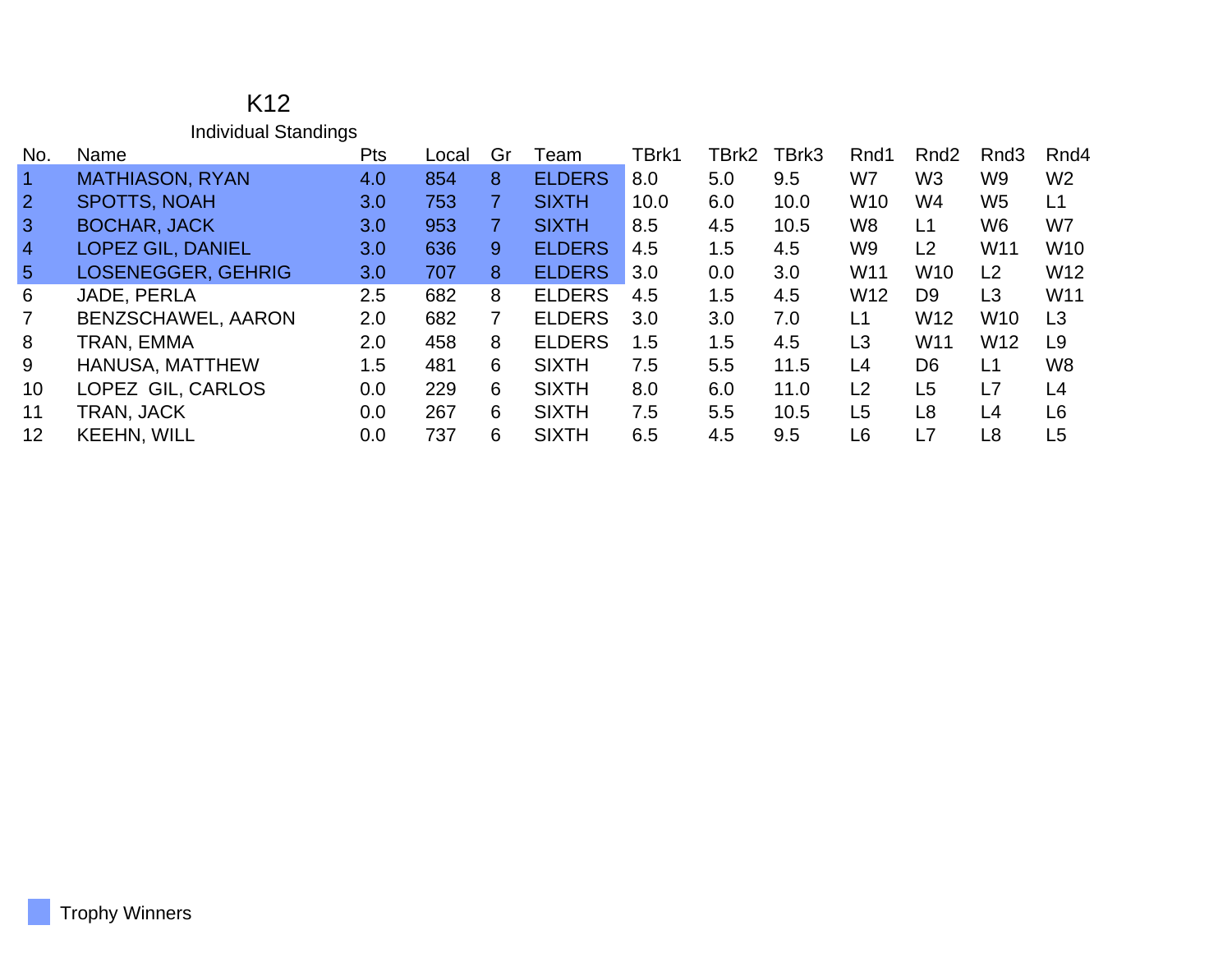| K12                         |
|-----------------------------|
| <b>Individual Standings</b> |

| No.             | Name                      | Pts              | Local | Gr | Team          | TBrk1 | TBrk2 | TBrk3 | Rnd1            | Rnd <sub>2</sub> | Rnd <sub>3</sub> | Rnd4            |
|-----------------|---------------------------|------------------|-------|----|---------------|-------|-------|-------|-----------------|------------------|------------------|-----------------|
| $\vert$ 1       | <b>MATHIASON, RYAN</b>    | 4.0              | 854   | 8  | <b>ELDERS</b> | 8.0   | 5.0   | 9.5   | W7              | W <sub>3</sub>   | W <sub>9</sub>   | W <sub>2</sub>  |
| $\overline{2}$  | <b>SPOTTS, NOAH</b>       | 3.0              | 753   |    | <b>SIXTH</b>  | 10.0  | 6.0   | 10.0  | W <sub>10</sub> | W4               | W <sub>5</sub>   | L1              |
| $\overline{3}$  | <b>BOCHAR, JACK</b>       | 3.0              | 953   |    | <b>SIXTH</b>  | 8.5   | 4.5   | 10.5  | W8              | L1               | W6               | W7              |
| $\overline{4}$  | <b>LOPEZ GIL, DANIEL</b>  | 3.0              | 636   | 9. | <b>ELDERS</b> | 4.5   | 1.5   | 4.5   | W9              | L <sub>2</sub>   | W11              | W <sub>10</sub> |
| $5\overline{5}$ | <b>LOSENEGGER, GEHRIG</b> | 3.0 <sub>1</sub> | 707   | 8. | <b>ELDERS</b> | 3.0   | 0.0   | 3.0   | W11             | W <sub>10</sub>  | L2               | W <sub>12</sub> |
| 6               | JADE, PERLA               | $2.5\,$          | 682   | 8  | <b>ELDERS</b> | 4.5   | 1.5   | 4.5   | W <sub>12</sub> | D <sub>9</sub>   | L <sub>3</sub>   | W11             |
| $\overline{7}$  | BENZSCHAWEL, AARON        | 2.0              | 682   |    | <b>ELDERS</b> | 3.0   | 3.0   | 7.0   | L1              | W <sub>12</sub>  | W <sub>10</sub>  | L3              |
| 8               | TRAN, EMMA                | 2.0              | 458   | 8  | <b>ELDERS</b> | 1.5   | 1.5   | 4.5   | L <sub>3</sub>  | W <sub>11</sub>  | W <sub>12</sub>  | L9              |
| 9               | <b>HANUSA, MATTHEW</b>    | 1.5              | 481   | 6  | <b>SIXTH</b>  | 7.5   | 5.5   | 11.5  | L4              | D <sub>6</sub>   | L1               | W <sub>8</sub>  |
| 10              | LOPEZ GIL, CARLOS         | 0.0              | 229   | 6  | <b>SIXTH</b>  | 8.0   | 6.0   | 11.0  | L <sub>2</sub>  | L <sub>5</sub>   | L7               | L4              |
| 11              | TRAN, JACK                | 0.0              | 267   | 6  | <b>SIXTH</b>  | 7.5   | 5.5   | 10.5  | L <sub>5</sub>  | L8               | L4               | L <sub>6</sub>  |
| 12              | <b>KEEHN, WILL</b>        | 0.0              | 737   | 6  | <b>SIXTH</b>  | 6.5   | 4.5   | 9.5   | L <sub>6</sub>  | L7               | L8               | L5              |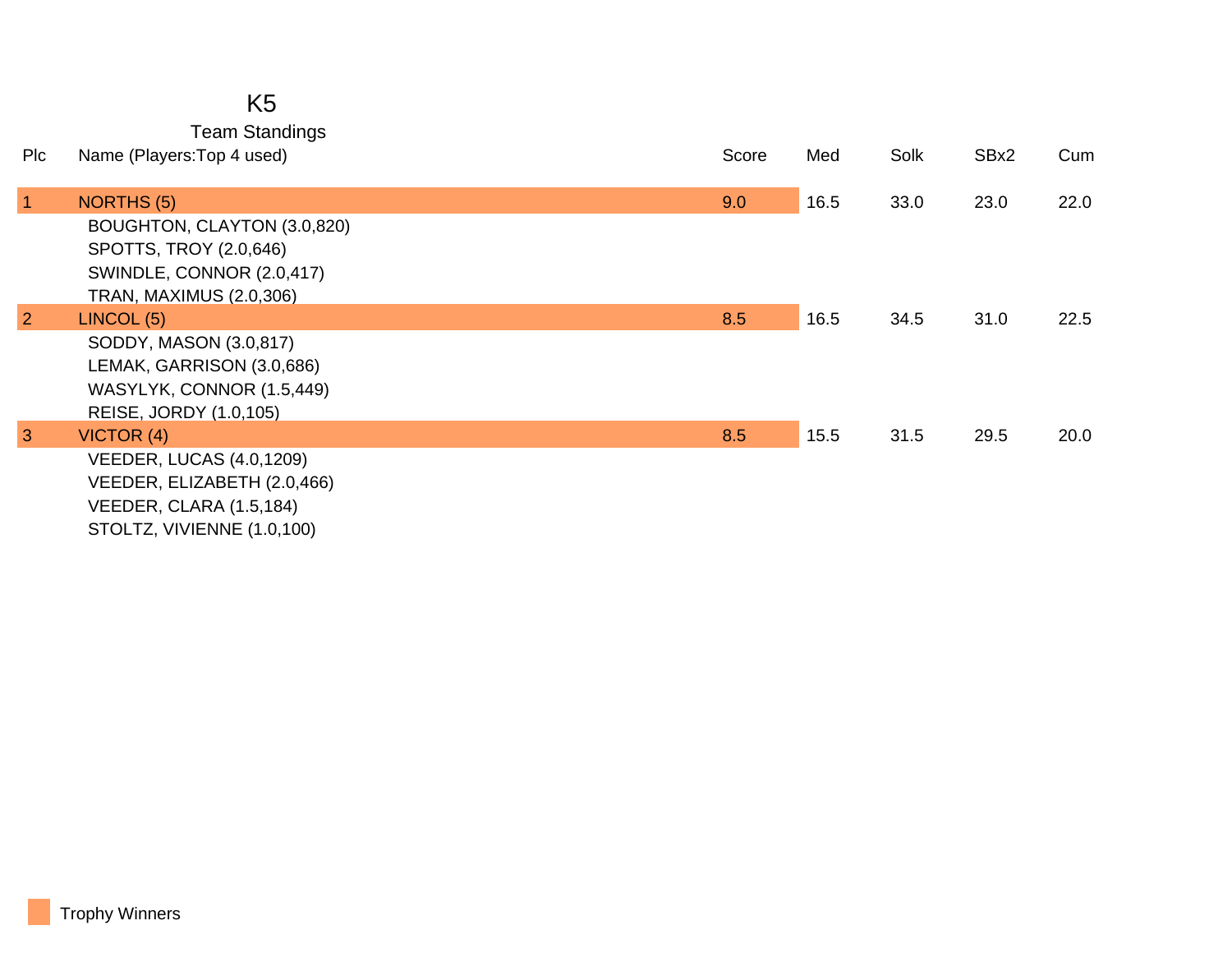## K5

Team Standings

| Plc            | Name (Players: Top 4 used)                                                                                                                | Score | Med  | Solk | SBx2 | Cum  |
|----------------|-------------------------------------------------------------------------------------------------------------------------------------------|-------|------|------|------|------|
| $\vert$ 1      | <b>NORTHS (5)</b><br>BOUGHTON, CLAYTON (3.0,820)<br>SPOTTS, TROY (2.0,646)<br>SWINDLE, CONNOR (2.0,417)<br><b>TRAN, MAXIMUS (2.0,306)</b> | 9.0   | 16.5 | 33.0 | 23.0 | 22.0 |
| $\overline{2}$ | LINCOL (5)<br>SODDY, MASON (3.0,817)<br>LEMAK, GARRISON (3.0,686)<br>WASYLYK, CONNOR (1.5,449)<br>REISE, JORDY (1.0,105)                  | 8.5   | 16.5 | 34.5 | 31.0 | 22.5 |
| $\overline{3}$ | VICTOR (4)<br><b>VEEDER, LUCAS (4.0,1209)</b><br>VEEDER, ELIZABETH (2.0,466)<br>VEEDER, CLARA (1.5,184)<br>STOLTZ, VIVIENNE (1.0,100)     | 8.5   | 15.5 | 31.5 | 29.5 | 20.0 |